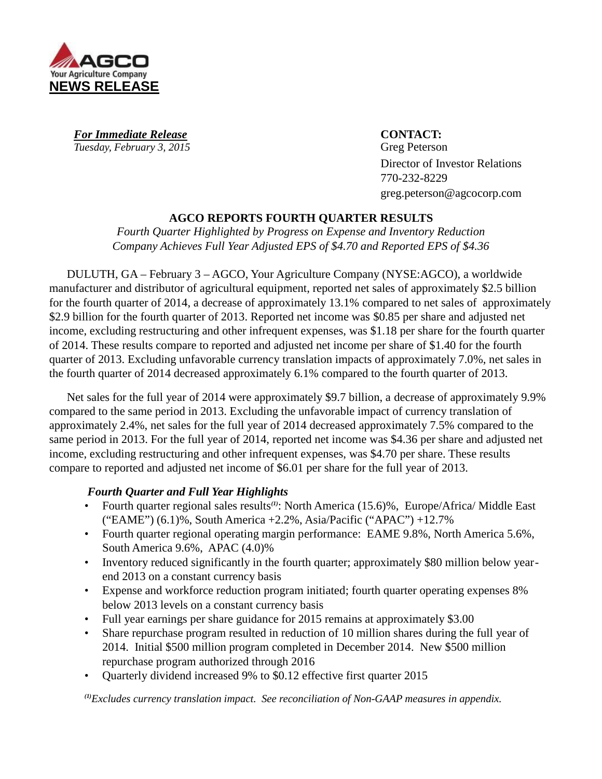

For Immediate Release **CONTACT:** *Tuesday, February 3, 2015* Greg Peterson

Director of Investor Relations 770-232-8229 greg.peterson@agcocorp.com

# **AGCO REPORTS FOURTH QUARTER RESULTS**

*Fourth Quarter Highlighted by Progress on Expense and Inventory Reduction Company Achieves Full Year Adjusted EPS of \$4.70 and Reported EPS of \$4.36*

DULUTH, GA – February 3 – AGCO, Your Agriculture Company (NYSE:AGCO), a worldwide manufacturer and distributor of agricultural equipment, reported net sales of approximately \$2.5 billion for the fourth quarter of 2014, a decrease of approximately 13.1% compared to net sales of approximately \$2.9 billion for the fourth quarter of 2013. Reported net income was \$0.85 per share and adjusted net income, excluding restructuring and other infrequent expenses, was \$1.18 per share for the fourth quarter of 2014. These results compare to reported and adjusted net income per share of \$1.40 for the fourth quarter of 2013. Excluding unfavorable currency translation impacts of approximately 7.0%, net sales in the fourth quarter of 2014 decreased approximately 6.1% compared to the fourth quarter of 2013.

Net sales for the full year of 2014 were approximately \$9.7 billion, a decrease of approximately 9.9% compared to the same period in 2013. Excluding the unfavorable impact of currency translation of approximately 2.4%, net sales for the full year of 2014 decreased approximately 7.5% compared to the same period in 2013. For the full year of 2014, reported net income was \$4.36 per share and adjusted net income, excluding restructuring and other infrequent expenses, was \$4.70 per share. These results compare to reported and adjusted net income of \$6.01 per share for the full year of 2013.

# *Fourth Quarter and Full Year Highlights*

- Fourth quarter regional sales results*(1)*: North America (15.6)%, Europe/Africa/ Middle East ("EAME") (6.1)%, South America +2.2%, Asia/Pacific ("APAC") +12.7%
- Fourth quarter regional operating margin performance: EAME 9.8%, North America 5.6%, South America 9.6%, APAC (4.0)%
- Inventory reduced significantly in the fourth quarter; approximately \$80 million below year end 2013 on a constant currency basis
- Expense and workforce reduction program initiated; fourth quarter operating expenses 8% below 2013 levels on a constant currency basis
- Full year earnings per share guidance for 2015 remains at approximately \$3.00
- Share repurchase program resulted in reduction of 10 million shares during the full year of 2014. Initial \$500 million program completed in December 2014. New \$500 million repurchase program authorized through 2016
- Quarterly dividend increased 9% to \$0.12 effective first quarter 2015

*(1)Excludes currency translation impact. See reconciliation of Non-GAAP measures in appendix.*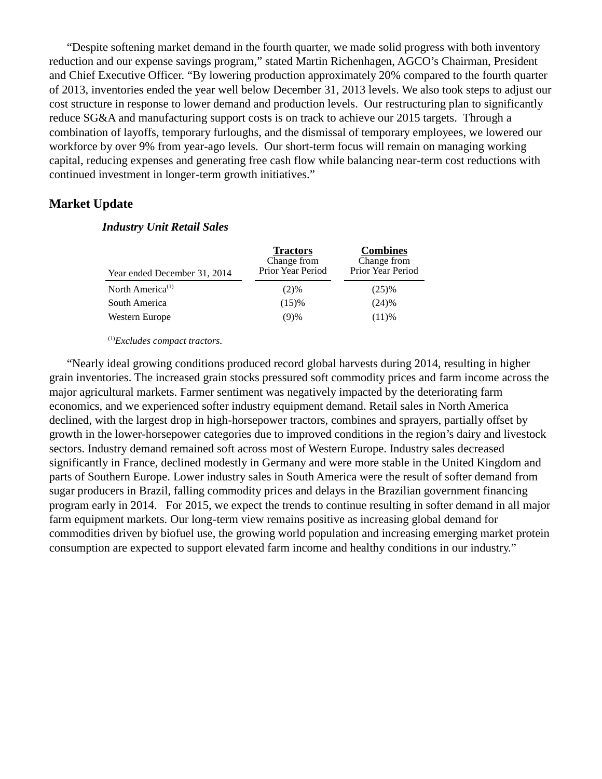"Despite softening market demand in the fourth quarter, we made solid progress with both inventory reduction and our expense savings program," stated Martin Richenhagen, AGCO's Chairman, President and Chief Executive Officer. "By lowering production approximately 20% compared to the fourth quarter of 2013, inventories ended the year well below December 31, 2013 levels. We also took steps to adjust our cost structure in response to lower demand and production levels. Our restructuring plan to significantly reduce SG&A and manufacturing support costs is on track to achieve our 2015 targets. Through a combination of layoffs, temporary furloughs, and the dismissal of temporary employees, we lowered our workforce by over 9% from year-ago levels. Our short-term focus will remain on managing working capital, reducing expenses and generating free cash flow while balancing near-term cost reductions with continued investment in longer-term growth initiatives."

## **Market Update**

| <b>Industry Unit Retail Sales</b> |  |  |  |  |
|-----------------------------------|--|--|--|--|
|-----------------------------------|--|--|--|--|

| Year ended December 31, 2014 | <b>Tractors</b><br>Change from<br>Prior Year Period | <b>Combines</b><br>Change from<br>Prior Year Period |
|------------------------------|-----------------------------------------------------|-----------------------------------------------------|
| North America <sup>(1)</sup> | (2)%                                                | (25)%                                               |
| South America                | (15)%                                               | (24)%                                               |
| Western Europe               | (9)%                                                | (11)%                                               |

(1)*Excludes compact tractors.*

"Nearly ideal growing conditions produced record global harvests during 2014, resulting in higher grain inventories. The increased grain stocks pressured soft commodity prices and farm income across the major agricultural markets. Farmer sentiment was negatively impacted by the deteriorating farm economics, and we experienced softer industry equipment demand. Retail sales in North America declined, with the largest drop in high-horsepower tractors, combines and sprayers, partially offset by growth in the lower-horsepower categories due to improved conditions in the region's dairy and livestock sectors. Industry demand remained soft across most of Western Europe. Industry sales decreased significantly in France, declined modestly in Germany and were more stable in the United Kingdom and parts of Southern Europe. Lower industry sales in South America were the result of softer demand from sugar producers in Brazil, falling commodity prices and delays in the Brazilian government financing program early in 2014. For 2015, we expect the trends to continue resulting in softer demand in all major farm equipment markets. Our long-term view remains positive as increasing global demand for commodities driven by biofuel use, the growing world population and increasing emerging market protein consumption are expected to support elevated farm income and healthy conditions in our industry."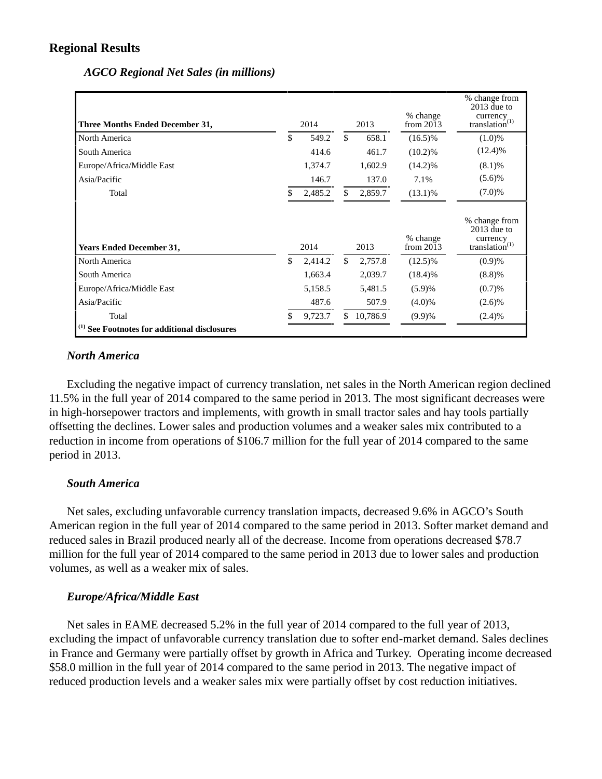# **Regional Results**

## *AGCO Regional Net Sales (in millions)*

| Three Months Ended December 31,          |     | 2014    |              | 2013     | % change<br>from $2013$ | % change from<br>$2013$ due to<br>currency<br>translation $^{(1)}$ |
|------------------------------------------|-----|---------|--------------|----------|-------------------------|--------------------------------------------------------------------|
| North America                            | \$  | 549.2   | \$           | 658.1    | $(16.5)\%$              | $(1.0)\%$                                                          |
| South America                            |     | 414.6   |              | 461.7    | $(10.2)\%$              | $(12.4)\%$                                                         |
| Europe/Africa/Middle East                |     | 1,374.7 |              | 1,602.9  | $(14.2)\%$              | $(8.1)\%$                                                          |
| Asia/Pacific                             |     | 146.7   |              | 137.0    | 7.1%                    | (5.6)%                                                             |
| Total                                    |     | 2,485.2 | \$.          | 2,859.7  | $(13.1)\%$              | (7.0)%                                                             |
| <b>Years Ended December 31,</b>          |     | 2014    |              | 2013     | % change<br>from $2013$ | % change from<br>$2013$ due to<br>currency<br>translation $(1)$    |
| North America                            | \$  | 2,414.2 | $\mathbb{S}$ | 2,757.8  | $(12.5)\%$              | (0.9)%                                                             |
| South America                            |     | 1,663.4 |              | 2,039.7  | $(18.4)\%$              | $(8.8)$ %                                                          |
| Europe/Africa/Middle East                |     | 5,158.5 |              | 5,481.5  | (5.9)%                  | (0.7)%                                                             |
| Asia/Pacific                             |     | 487.6   |              | 507.9    | $(4.0)\%$               | $(2.6)\%$                                                          |
| Total                                    | \$. | 9,723.7 | \$.          | 10,786.9 | (9.9)%                  | (2.4)%                                                             |
| See Footnotes for additional disclosures |     |         |              |          |                         |                                                                    |

## *North America*

Excluding the negative impact of currency translation, net sales in the North American region declined 11.5% in the full year of 2014 compared to the same period in 2013. The most significant decreases were in high-horsepower tractors and implements, with growth in small tractor sales and hay tools partially offsetting the declines. Lower sales and production volumes and a weaker sales mix contributed to a reduction in income from operations of \$106.7 million for the full year of 2014 compared to the same period in 2013.

## *South America*

Net sales, excluding unfavorable currency translation impacts, decreased 9.6% in AGCO's South American region in the full year of 2014 compared to the same period in 2013. Softer market demand and reduced sales in Brazil produced nearly all of the decrease. Income from operations decreased \$78.7 million for the full year of 2014 compared to the same period in 2013 due to lower sales and production volumes, as well as a weaker mix of sales.

## *Europe/Africa/Middle East*

Net sales in EAME decreased 5.2% in the full year of 2014 compared to the full year of 2013, excluding the impact of unfavorable currency translation due to softer end-market demand. Sales declines in France and Germany were partially offset by growth in Africa and Turkey. Operating income decreased \$58.0 million in the full year of 2014 compared to the same period in 2013. The negative impact of reduced production levels and a weaker sales mix were partially offset by cost reduction initiatives.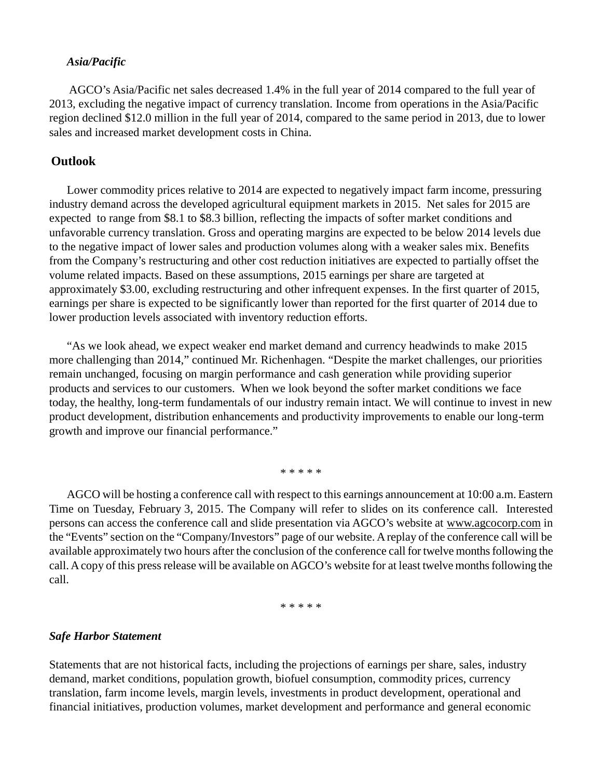#### *Asia/Pacific*

AGCO's Asia/Pacific net sales decreased 1.4% in the full year of 2014 compared to the full year of 2013, excluding the negative impact of currency translation. Income from operations in the Asia/Pacific region declined \$12.0 million in the full year of 2014, compared to the same period in 2013, due to lower sales and increased market development costs in China.

## **Outlook**

Lower commodity prices relative to 2014 are expected to negatively impact farm income, pressuring industry demand across the developed agricultural equipment markets in 2015. Net sales for 2015 are expected to range from \$8.1 to \$8.3 billion, reflecting the impacts of softer market conditions and unfavorable currency translation. Gross and operating margins are expected to be below 2014 levels due to the negative impact of lower sales and production volumes along with a weaker sales mix. Benefits from the Company's restructuring and other cost reduction initiatives are expected to partially offset the volume related impacts. Based on these assumptions, 2015 earnings per share are targeted at approximately \$3.00, excluding restructuring and other infrequent expenses. In the first quarter of 2015, earnings per share is expected to be significantly lower than reported for the first quarter of 2014 due to lower production levels associated with inventory reduction efforts.

"As we look ahead, we expect weaker end market demand and currency headwinds to make 2015 more challenging than 2014," continued Mr. Richenhagen. "Despite the market challenges, our priorities remain unchanged, focusing on margin performance and cash generation while providing superior products and services to our customers. When we look beyond the softer market conditions we face today, the healthy, long-term fundamentals of our industry remain intact. We will continue to invest in new product development, distribution enhancements and productivity improvements to enable our long-term growth and improve our financial performance."

\* \* \* \* \*

AGCO will be hosting a conference call with respect to this earnings announcement at 10:00 a.m. Eastern Time on Tuesday, February 3, 2015. The Company will refer to slides on its conference call. Interested persons can access the conference call and slide presentation via AGCO's website at www.agcocorp.com in the "Events" section on the "Company/Investors" page of our website. A replay of the conference call will be available approximately two hours after the conclusion of the conference call for twelve months following the call. A copy of this press release will be available on AGCO's website for at least twelve months following the call.

\* \* \* \* \*

#### *Safe Harbor Statement*

Statements that are not historical facts, including the projections of earnings per share, sales, industry demand, market conditions, population growth, biofuel consumption, commodity prices, currency translation, farm income levels, margin levels, investments in product development, operational and financial initiatives, production volumes, market development and performance and general economic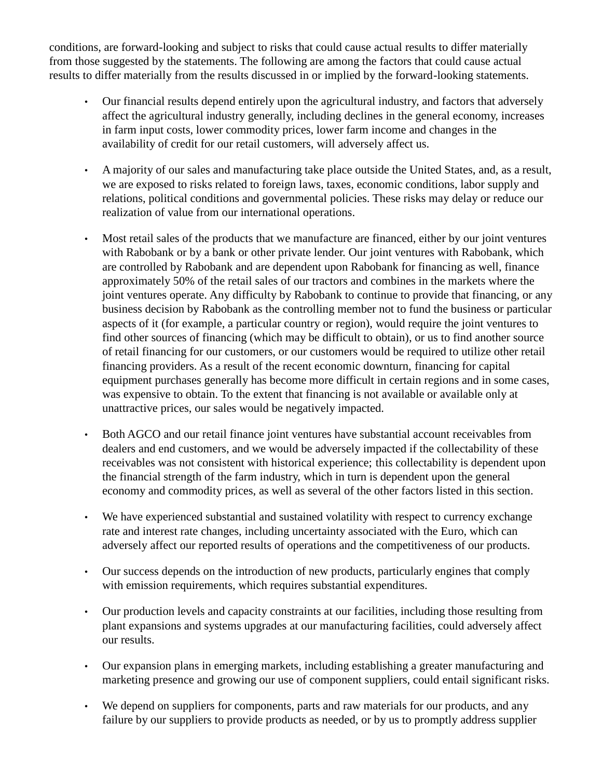conditions, are forward-looking and subject to risks that could cause actual results to differ materially from those suggested by the statements. The following are among the factors that could cause actual results to differ materially from the results discussed in or implied by the forward-looking statements.

- Our financial results depend entirely upon the agricultural industry, and factors that adversely affect the agricultural industry generally, including declines in the general economy, increases in farm input costs, lower commodity prices, lower farm income and changes in the availability of credit for our retail customers, will adversely affect us.
- A majority of our sales and manufacturing take place outside the United States, and, as a result, we are exposed to risks related to foreign laws, taxes, economic conditions, labor supply and relations, political conditions and governmental policies. These risks may delay or reduce our realization of value from our international operations.
- Most retail sales of the products that we manufacture are financed, either by our joint ventures with Rabobank or by a bank or other private lender. Our joint ventures with Rabobank, which are controlled by Rabobank and are dependent upon Rabobank for financing as well, finance approximately 50% of the retail sales of our tractors and combines in the markets where the joint ventures operate. Any difficulty by Rabobank to continue to provide that financing, or any business decision by Rabobank as the controlling member not to fund the business or particular aspects of it (for example, a particular country or region), would require the joint ventures to find other sources of financing (which may be difficult to obtain), or us to find another source of retail financing for our customers, or our customers would be required to utilize other retail financing providers. As a result of the recent economic downturn, financing for capital equipment purchases generally has become more difficult in certain regions and in some cases, was expensive to obtain. To the extent that financing is not available or available only at unattractive prices, our sales would be negatively impacted.
- Both AGCO and our retail finance joint ventures have substantial account receivables from dealers and end customers, and we would be adversely impacted if the collectability of these receivables was not consistent with historical experience; this collectability is dependent upon the financial strength of the farm industry, which in turn is dependent upon the general economy and commodity prices, as well as several of the other factors listed in this section.
- We have experienced substantial and sustained volatility with respect to currency exchange rate and interest rate changes, including uncertainty associated with the Euro, which can adversely affect our reported results of operations and the competitiveness of our products.
- Our success depends on the introduction of new products, particularly engines that comply with emission requirements, which requires substantial expenditures.
- Our production levels and capacity constraints at our facilities, including those resulting from plant expansions and systems upgrades at our manufacturing facilities, could adversely affect our results.
- Our expansion plans in emerging markets, including establishing a greater manufacturing and marketing presence and growing our use of component suppliers, could entail significant risks.
- We depend on suppliers for components, parts and raw materials for our products, and any failure by our suppliers to provide products as needed, or by us to promptly address supplier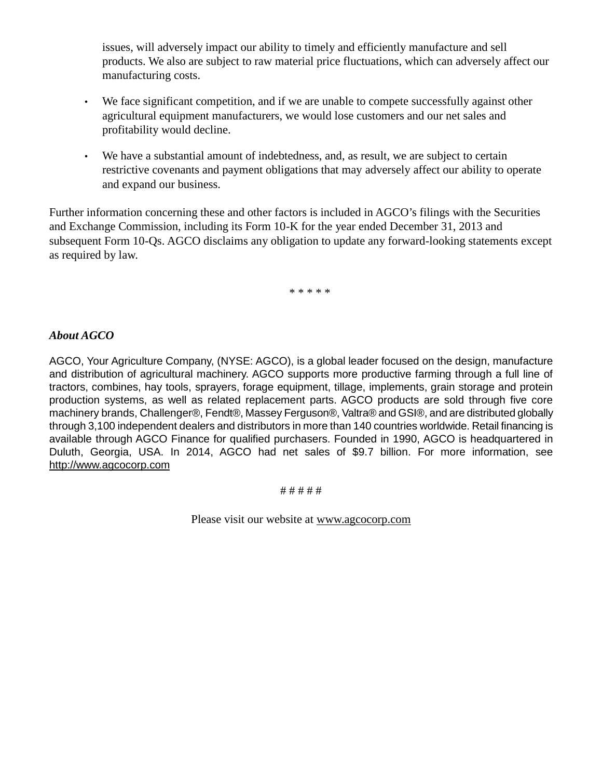issues, will adversely impact our ability to timely and efficiently manufacture and sell products. We also are subject to raw material price fluctuations, which can adversely affect our manufacturing costs.

- We face significant competition, and if we are unable to compete successfully against other agricultural equipment manufacturers, we would lose customers and our net sales and profitability would decline.
- We have a substantial amount of indebtedness, and, as result, we are subject to certain restrictive covenants and payment obligations that may adversely affect our ability to operate and expand our business.

Further information concerning these and other factors is included in AGCO's filings with the Securities and Exchange Commission, including its Form 10-K for the year ended December 31, 2013 and subsequent Form 10-Qs. AGCO disclaims any obligation to update any forward-looking statements except as required by law.

\* \* \* \* \*

# *About AGCO*

AGCO, Your Agriculture Company, (NYSE: AGCO), is a global leader focused on the design, manufacture and distribution of agricultural machinery. AGCO supports more productive farming through a full line of tractors, combines, hay tools, sprayers, forage equipment, tillage, implements, grain storage and protein production systems, as well as related replacement parts. AGCO products are sold through five core machinery brands, Challenger®, Fendt®, Massey Ferguson®, Valtra® and GSI®, and are distributed globally through 3,100 independent dealers and distributors in more than 140 countries worldwide. Retail financing is available through AGCO Finance for qualified purchasers. Founded in 1990, AGCO is headquartered in Duluth, Georgia, USA. In 2014, AGCO had net sales of \$9.7 billion. For more information, see http://www.agcocorp.com

# # # # #

Please visit our website at www.agcocorp.com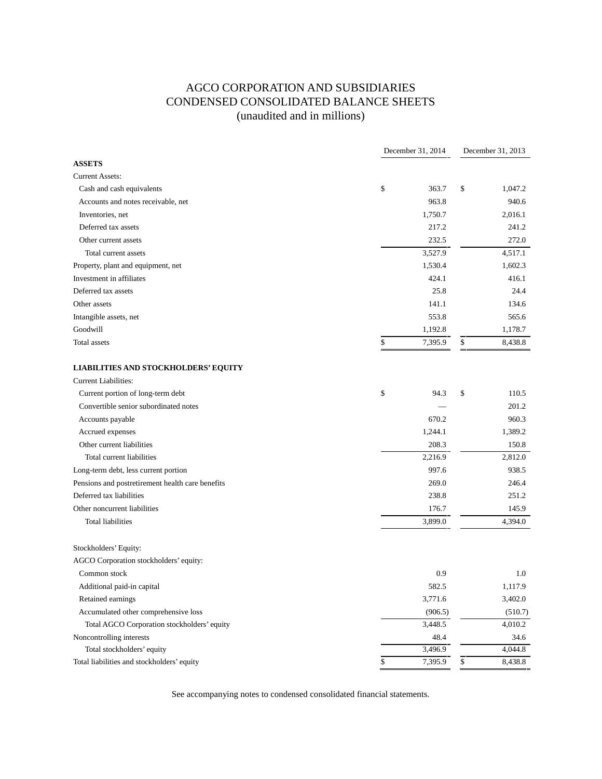# AGCO CORPORATION AND SUBSIDIARIES CONDENSED CONSOLIDATED BALANCE SHEETS (unaudited and in millions)

|                                                  | December 31, 2014 | December 31, 2013 |  |  |  |
|--------------------------------------------------|-------------------|-------------------|--|--|--|
| <b>ASSETS</b>                                    |                   |                   |  |  |  |
| <b>Current Assets:</b>                           |                   |                   |  |  |  |
| Cash and cash equivalents                        | \$<br>363.7       | \$<br>1,047.2     |  |  |  |
| Accounts and notes receivable, net               | 963.8             | 940.6             |  |  |  |
| Inventories, net                                 | 1,750.7           | 2,016.1           |  |  |  |
| Deferred tax assets                              | 217.2             | 241.2             |  |  |  |
| Other current assets                             | 232.5             | 272.0             |  |  |  |
| Total current assets                             | 3,527.9           | 4,517.1           |  |  |  |
| Property, plant and equipment, net               | 1,530.4           | 1,602.3           |  |  |  |
| Investment in affiliates                         | 424.1             | 416.1             |  |  |  |
| Deferred tax assets                              | 25.8              | 24.4              |  |  |  |
| Other assets                                     | 141.1             | 134.6             |  |  |  |
| Intangible assets, net                           | 553.8             | 565.6             |  |  |  |
| Goodwill                                         | 1,192.8           | 1,178.7           |  |  |  |
| Total assets                                     | \$<br>7,395.9     | \$<br>8,438.8     |  |  |  |
|                                                  |                   |                   |  |  |  |
| LIABILITIES AND STOCKHOLDERS' EQUITY             |                   |                   |  |  |  |
| <b>Current Liabilities:</b>                      |                   |                   |  |  |  |
| Current portion of long-term debt                | \$<br>94.3        | \$<br>110.5       |  |  |  |
| Convertible senior subordinated notes            |                   | 201.2             |  |  |  |
| Accounts payable                                 | 670.2             | 960.3             |  |  |  |
| Accrued expenses                                 | 1,244.1           | 1,389.2           |  |  |  |
| Other current liabilities                        | 208.3             | 150.8             |  |  |  |
| Total current liabilities                        | 2,216.9           | 2,812.0           |  |  |  |
| Long-term debt, less current portion             | 997.6             | 938.5             |  |  |  |
| Pensions and postretirement health care benefits | 269.0             | 246.4             |  |  |  |
| Deferred tax liabilities                         | 238.8             | 251.2             |  |  |  |
| Other noncurrent liabilities                     | 176.7             | 145.9             |  |  |  |
| Total liabilities                                | 3,899.0           | 4,394.0           |  |  |  |
|                                                  |                   |                   |  |  |  |
| Stockholders' Equity:                            |                   |                   |  |  |  |
| AGCO Corporation stockholders' equity:           |                   |                   |  |  |  |
| Common stock                                     | 0.9               | 1.0               |  |  |  |
| Additional paid-in capital                       | 582.5             | 1,117.9           |  |  |  |
| Retained earnings                                | 3,771.6           | 3,402.0           |  |  |  |
| Accumulated other comprehensive loss             | (906.5)           | (510.7)           |  |  |  |
| Total AGCO Corporation stockholders' equity      | 3,448.5           | 4,010.2           |  |  |  |
| Noncontrolling interests                         | 48.4              | 34.6              |  |  |  |
| Total stockholders' equity                       | 3,496.9           | 4,044.8           |  |  |  |
| Total liabilities and stockholders' equity       | \$<br>7,395.9     | \$<br>8,438.8     |  |  |  |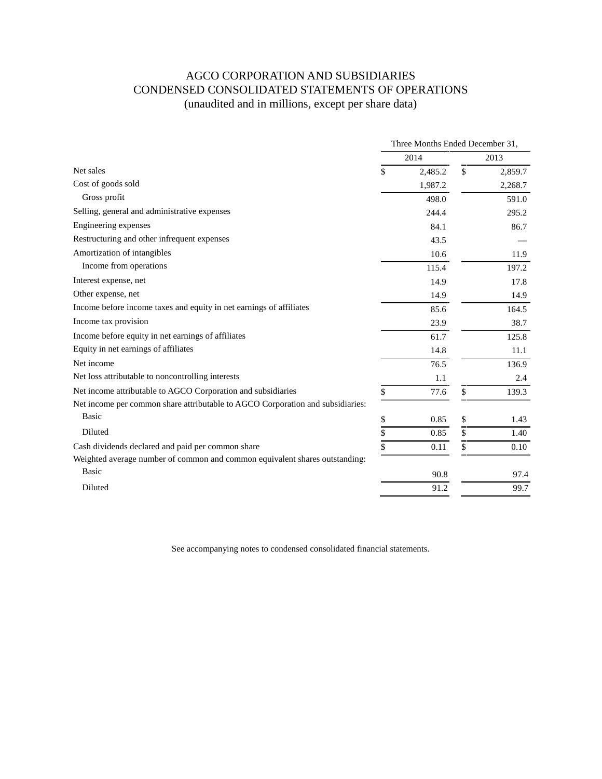# AGCO CORPORATION AND SUBSIDIARIES CONDENSED CONSOLIDATED STATEMENTS OF OPERATIONS (unaudited and in millions, except per share data)

|                                                                                |      |         | Three Months Ended December 31, |         |  |  |
|--------------------------------------------------------------------------------|------|---------|---------------------------------|---------|--|--|
|                                                                                | 2014 |         | 2013                            |         |  |  |
| Net sales                                                                      | \$   | 2,485.2 | \$                              | 2,859.7 |  |  |
| Cost of goods sold                                                             |      | 1,987.2 |                                 | 2,268.7 |  |  |
| Gross profit                                                                   |      | 498.0   |                                 | 591.0   |  |  |
| Selling, general and administrative expenses                                   |      | 244.4   |                                 | 295.2   |  |  |
| Engineering expenses                                                           |      | 84.1    |                                 | 86.7    |  |  |
| Restructuring and other infrequent expenses                                    |      | 43.5    |                                 |         |  |  |
| Amortization of intangibles                                                    |      | 10.6    |                                 | 11.9    |  |  |
| Income from operations                                                         |      | 115.4   |                                 | 197.2   |  |  |
| Interest expense, net                                                          |      | 14.9    |                                 | 17.8    |  |  |
| Other expense, net                                                             |      | 14.9    |                                 | 14.9    |  |  |
| Income before income taxes and equity in net earnings of affiliates            |      | 85.6    |                                 | 164.5   |  |  |
| Income tax provision                                                           |      | 23.9    |                                 | 38.7    |  |  |
| Income before equity in net earnings of affiliates                             |      | 61.7    |                                 | 125.8   |  |  |
| Equity in net earnings of affiliates                                           |      | 14.8    |                                 | 11.1    |  |  |
| Net income                                                                     |      | 76.5    |                                 | 136.9   |  |  |
| Net loss attributable to noncontrolling interests                              |      | 1.1     |                                 | 2.4     |  |  |
| Net income attributable to AGCO Corporation and subsidiaries                   | \$   | 77.6    | \$                              | 139.3   |  |  |
| Net income per common share attributable to AGCO Corporation and subsidiaries: |      |         |                                 |         |  |  |
| Basic                                                                          | \$   | 0.85    | \$                              | 1.43    |  |  |
| Diluted                                                                        | \$   | 0.85    | \$                              | 1.40    |  |  |
| Cash dividends declared and paid per common share                              | \$   | 0.11    | \$                              | 0.10    |  |  |
| Weighted average number of common and common equivalent shares outstanding:    |      |         |                                 |         |  |  |
| <b>Basic</b>                                                                   |      | 90.8    |                                 | 97.4    |  |  |
| Diluted                                                                        |      | 91.2    |                                 | 99.7    |  |  |
|                                                                                |      |         |                                 |         |  |  |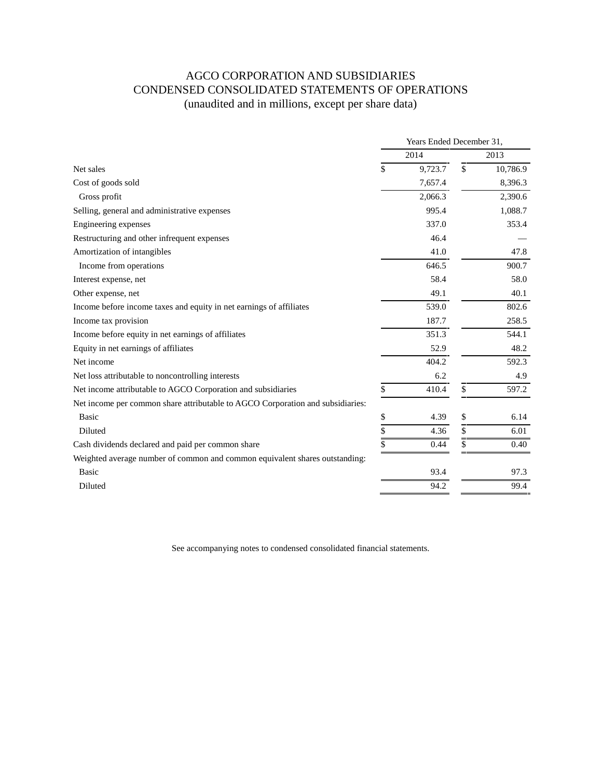# AGCO CORPORATION AND SUBSIDIARIES CONDENSED CONSOLIDATED STATEMENTS OF OPERATIONS (unaudited and in millions, except per share data)

|                                                                                | Years Ended December 31, |         |      |          |  |
|--------------------------------------------------------------------------------|--------------------------|---------|------|----------|--|
|                                                                                |                          | 2014    | 2013 |          |  |
| Net sales                                                                      | \$.                      | 9,723.7 | \$   | 10,786.9 |  |
| Cost of goods sold                                                             |                          | 7,657.4 |      | 8,396.3  |  |
| Gross profit                                                                   |                          | 2,066.3 |      | 2,390.6  |  |
| Selling, general and administrative expenses                                   |                          | 995.4   |      | 1,088.7  |  |
| Engineering expenses                                                           |                          | 337.0   |      | 353.4    |  |
| Restructuring and other infrequent expenses                                    |                          | 46.4    |      |          |  |
| Amortization of intangibles                                                    |                          | 41.0    |      | 47.8     |  |
| Income from operations                                                         |                          | 646.5   |      | 900.7    |  |
| Interest expense, net                                                          |                          | 58.4    |      | 58.0     |  |
| Other expense, net                                                             |                          | 49.1    |      | 40.1     |  |
| Income before income taxes and equity in net earnings of affiliates            |                          | 539.0   |      | 802.6    |  |
| Income tax provision                                                           |                          | 187.7   |      | 258.5    |  |
| Income before equity in net earnings of affiliates                             |                          | 351.3   |      | 544.1    |  |
| Equity in net earnings of affiliates                                           |                          | 52.9    |      | 48.2     |  |
| Net income                                                                     |                          | 404.2   |      | 592.3    |  |
| Net loss attributable to noncontrolling interests                              |                          | 6.2     |      | 4.9      |  |
| Net income attributable to AGCO Corporation and subsidiaries                   | \$                       | 410.4   | \$   | 597.2    |  |
| Net income per common share attributable to AGCO Corporation and subsidiaries: |                          |         |      |          |  |
| <b>Basic</b>                                                                   | \$                       | 4.39    | \$   | 6.14     |  |
| Diluted                                                                        | \$                       | 4.36    | \$   | 6.01     |  |
| Cash dividends declared and paid per common share                              | \$                       | 0.44    | \$   | 0.40     |  |
| Weighted average number of common and common equivalent shares outstanding:    |                          |         |      |          |  |
| Basic                                                                          |                          | 93.4    |      | 97.3     |  |
| Diluted                                                                        |                          | 94.2    |      | 99.4     |  |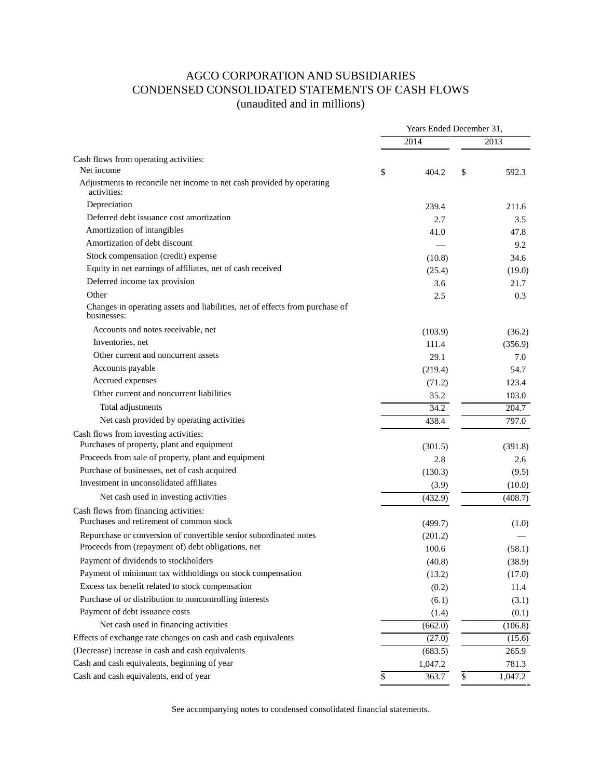# AGCO CORPORATION AND SUBSIDIARIES CONDENSED CONSOLIDATED STATEMENTS OF CASH FLOWS (unaudited and in millions)

|                                                                                             | Years Ended December 31, |         |      |         |  |  |
|---------------------------------------------------------------------------------------------|--------------------------|---------|------|---------|--|--|
|                                                                                             |                          | 2014    | 2013 |         |  |  |
| Cash flows from operating activities:                                                       |                          |         |      |         |  |  |
| Net income                                                                                  | \$                       | 404.2   | \$   | 592.3   |  |  |
| Adjustments to reconcile net income to net cash provided by operating<br>activities:        |                          |         |      |         |  |  |
| Depreciation                                                                                |                          | 239.4   |      | 211.6   |  |  |
| Deferred debt issuance cost amortization                                                    |                          | 2.7     |      | 3.5     |  |  |
| Amortization of intangibles                                                                 |                          | 41.0    |      | 47.8    |  |  |
| Amortization of debt discount                                                               |                          |         |      | 9.2     |  |  |
| Stock compensation (credit) expense                                                         |                          | (10.8)  |      | 34.6    |  |  |
| Equity in net earnings of affiliates, net of cash received                                  |                          | (25.4)  |      | (19.0)  |  |  |
| Deferred income tax provision                                                               |                          | 3.6     |      | 21.7    |  |  |
| Other                                                                                       |                          | 2.5     |      | 0.3     |  |  |
| Changes in operating assets and liabilities, net of effects from purchase of<br>businesses: |                          |         |      |         |  |  |
| Accounts and notes receivable, net                                                          |                          | (103.9) |      | (36.2)  |  |  |
| Inventories, net                                                                            |                          | 111.4   |      | (356.9) |  |  |
| Other current and noncurrent assets                                                         |                          | 29.1    |      | 7.0     |  |  |
| Accounts payable                                                                            |                          | (219.4) |      | 54.7    |  |  |
| Accrued expenses                                                                            |                          | (71.2)  |      | 123.4   |  |  |
| Other current and noncurrent liabilities                                                    |                          | 35.2    |      | 103.0   |  |  |
| Total adjustments                                                                           |                          | 34.2    |      | 204.7   |  |  |
| Net cash provided by operating activities                                                   |                          | 438.4   |      | 797.0   |  |  |
| Cash flows from investing activities:                                                       |                          |         |      |         |  |  |
| Purchases of property, plant and equipment                                                  |                          | (301.5) |      | (391.8) |  |  |
| Proceeds from sale of property, plant and equipment                                         |                          | 2.8     |      | 2.6     |  |  |
| Purchase of businesses, net of cash acquired                                                |                          | (130.3) |      | (9.5)   |  |  |
| Investment in unconsolidated affiliates                                                     |                          | (3.9)   |      | (10.0)  |  |  |
| Net cash used in investing activities                                                       |                          | (432.9) |      | (408.7) |  |  |
| Cash flows from financing activities:<br>Purchases and retirement of common stock           |                          | (499.7) |      | (1.0)   |  |  |
| Repurchase or conversion of convertible senior subordinated notes                           |                          | (201.2) |      |         |  |  |
| Proceeds from (repayment of) debt obligations, net                                          |                          | 100.6   |      | (58.1)  |  |  |
| Payment of dividends to stockholders                                                        |                          | (40.8)  |      | (38.9)  |  |  |
| Payment of minimum tax withholdings on stock compensation                                   |                          | (13.2)  |      | (17.0)  |  |  |
| Excess tax benefit related to stock compensation                                            |                          | (0.2)   |      | 11.4    |  |  |
| Purchase of or distribution to noncontrolling interests                                     |                          | (6.1)   |      | (3.1)   |  |  |
| Payment of debt issuance costs                                                              |                          | (1.4)   |      | (0.1)   |  |  |
| Net cash used in financing activities                                                       |                          | (662.0) |      | (106.8) |  |  |
| Effects of exchange rate changes on cash and cash equivalents                               |                          | (27.0)  |      | (15.6)  |  |  |
| (Decrease) increase in cash and cash equivalents                                            |                          | (683.5) |      | 265.9   |  |  |
| Cash and cash equivalents, beginning of year                                                |                          | 1,047.2 |      | 781.3   |  |  |
| Cash and cash equivalents, end of year                                                      | \$                       | 363.7   | \$   | 1,047.2 |  |  |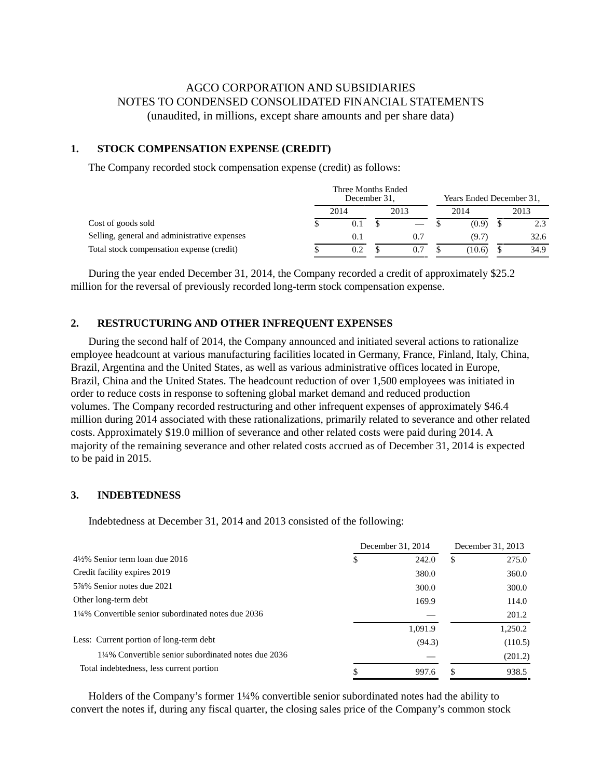# AGCO CORPORATION AND SUBSIDIARIES NOTES TO CONDENSED CONSOLIDATED FINANCIAL STATEMENTS (unaudited, in millions, except share amounts and per share data)

## **1. STOCK COMPENSATION EXPENSE (CREDIT)**

The Company recorded stock compensation expense (credit) as follows:

|                                              | Three Months Ended<br>December 31, |        |      |                 |      | Years Ended December 31, |      |      |  |  |
|----------------------------------------------|------------------------------------|--------|------|-----------------|------|--------------------------|------|------|--|--|
|                                              | 2014                               |        | 2013 |                 | 2014 |                          | 2013 |      |  |  |
| Cost of goods sold                           |                                    | 0.1    |      | $\qquad \qquad$ |      | (0.9)                    |      | 2.3  |  |  |
| Selling, general and administrative expenses |                                    | (0, 1) |      | 0.7             |      | (9.7)                    |      | 32.6 |  |  |
| Total stock compensation expense (credit)    |                                    |        |      | 0.7             |      | (10.6)                   |      | 34.9 |  |  |

During the year ended December 31, 2014, the Company recorded a credit of approximately \$25.2 million for the reversal of previously recorded long-term stock compensation expense.

#### **2. RESTRUCTURING AND OTHER INFREQUENT EXPENSES**

During the second half of 2014, the Company announced and initiated several actions to rationalize employee headcount at various manufacturing facilities located in Germany, France, Finland, Italy, China, Brazil, Argentina and the United States, as well as various administrative offices located in Europe, Brazil, China and the United States. The headcount reduction of over 1,500 employees was initiated in order to reduce costs in response to softening global market demand and reduced production volumes. The Company recorded restructuring and other infrequent expenses of approximately \$46.4 million during 2014 associated with these rationalizations, primarily related to severance and other related costs. Approximately \$19.0 million of severance and other related costs were paid during 2014. A majority of the remaining severance and other related costs accrued as of December 31, 2014 is expected to be paid in 2015.

#### **3. INDEBTEDNESS**

Indebtedness at December 31, 2014 and 2013 consisted of the following:

|                                                    |   | December 31, 2014 | December 31, 2013 |         |  |
|----------------------------------------------------|---|-------------------|-------------------|---------|--|
| $4\frac{1}{2}\%$ Senior term loan due 2016         | S | 242.0             | <sup>\$</sup>     | 275.0   |  |
| Credit facility expires 2019                       |   | 380.0             |                   | 360.0   |  |
| 5 % Senior notes due 2021                          |   | 300.0             |                   | 300.0   |  |
| Other long-term debt                               |   | 169.9             |                   | 114.0   |  |
| 1¼% Convertible senior subordinated notes due 2036 |   |                   |                   | 201.2   |  |
|                                                    |   | 1,091.9           |                   | 1,250.2 |  |
| Less: Current portion of long-term debt            |   | (94.3)            |                   | (110.5) |  |
| 1¼% Convertible senior subordinated notes due 2036 |   |                   |                   | (201.2) |  |
| Total indebtedness, less current portion           | J | 997.6             | \$                | 938.5   |  |

Holders of the Company's former 1¼% convertible senior subordinated notes had the ability to convert the notes if, during any fiscal quarter, the closing sales price of the Company's common stock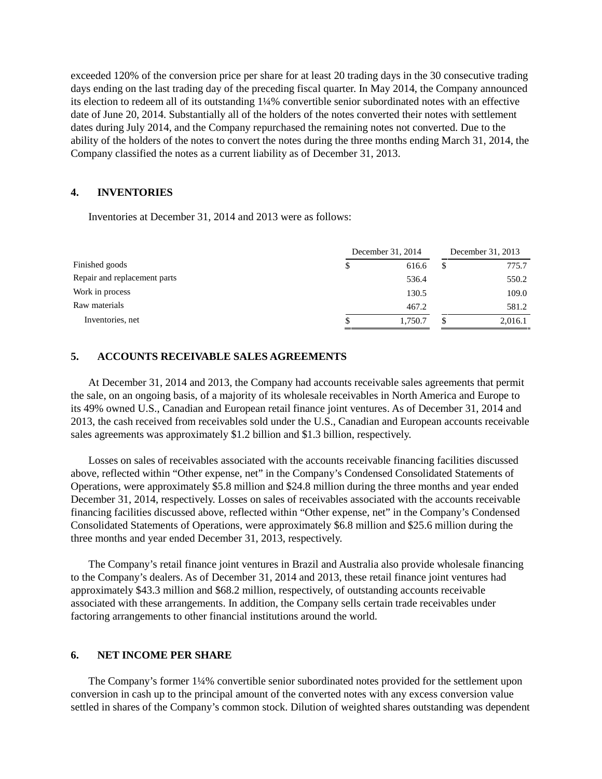exceeded 120% of the conversion price per share for at least 20 trading days in the 30 consecutive trading days ending on the last trading day of the preceding fiscal quarter. In May 2014, the Company announced its election to redeem all of its outstanding 1¼% convertible senior subordinated notes with an effective date of June 20, 2014. Substantially all of the holders of the notes converted their notes with settlement dates during July 2014, and the Company repurchased the remaining notes not converted. Due to the ability of the holders of the notes to convert the notes during the three months ending March 31, 2014, the Company classified the notes as a current liability as of December 31, 2013.

#### **4. INVENTORIES**

Inventories at December 31, 2014 and 2013 were as follows:

|                              | December 31, 2014 |  |         |
|------------------------------|-------------------|--|---------|
| Finished goods               | \$<br>616.6       |  | 775.7   |
| Repair and replacement parts | 536.4             |  | 550.2   |
| Work in process              | 130.5             |  | 109.0   |
| Raw materials                | 467.2             |  | 581.2   |
| Inventories, net             | \$<br>1.750.7     |  | 2,016.1 |

## **5. ACCOUNTS RECEIVABLE SALES AGREEMENTS**

At December 31, 2014 and 2013, the Company had accounts receivable sales agreements that permit the sale, on an ongoing basis, of a majority of its wholesale receivables in North America and Europe to its 49% owned U.S., Canadian and European retail finance joint ventures. As of December 31, 2014 and 2013, the cash received from receivables sold under the U.S., Canadian and European accounts receivable sales agreements was approximately \$1.2 billion and \$1.3 billion, respectively.

Losses on sales of receivables associated with the accounts receivable financing facilities discussed above, reflected within "Other expense, net" in the Company's Condensed Consolidated Statements of Operations, were approximately \$5.8 million and \$24.8 million during the three months and year ended December 31, 2014, respectively. Losses on sales of receivables associated with the accounts receivable financing facilities discussed above, reflected within "Other expense, net" in the Company's Condensed Consolidated Statements of Operations, were approximately \$6.8 million and \$25.6 million during the three months and year ended December 31, 2013, respectively.

The Company's retail finance joint ventures in Brazil and Australia also provide wholesale financing to the Company's dealers. As of December 31, 2014 and 2013, these retail finance joint ventures had approximately \$43.3 million and \$68.2 million, respectively, of outstanding accounts receivable associated with these arrangements. In addition, the Company sells certain trade receivables under factoring arrangements to other financial institutions around the world.

#### **6. NET INCOME PER SHARE**

The Company's former 1¼% convertible senior subordinated notes provided for the settlement upon conversion in cash up to the principal amount of the converted notes with any excess conversion value settled in shares of the Company's common stock. Dilution of weighted shares outstanding was dependent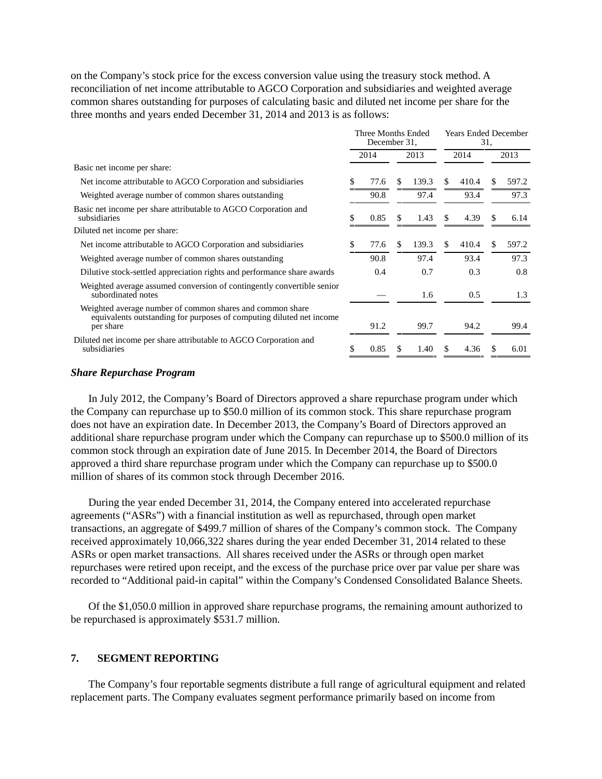on the Company's stock price for the excess conversion value using the treasury stock method. A reconciliation of net income attributable to AGCO Corporation and subsidiaries and weighted average common shares outstanding for purposes of calculating basic and diluted net income per share for the three months and years ended December 31, 2014 and 2013 is as follows:

|                                                                                                                                                |    | Three Months Ended<br>December 31. |     |       |     | <b>Years Ended December</b><br>31, |     |       |  |
|------------------------------------------------------------------------------------------------------------------------------------------------|----|------------------------------------|-----|-------|-----|------------------------------------|-----|-------|--|
|                                                                                                                                                |    | 2014                               |     | 2013  |     | 2014                               |     | 2013  |  |
| Basic net income per share:                                                                                                                    |    |                                    |     |       |     |                                    |     |       |  |
| Net income attributable to AGCO Corporation and subsidiaries                                                                                   |    | 77.6                               | \$  | 139.3 | \$  | 410.4                              |     | 597.2 |  |
| Weighted average number of common shares outstanding                                                                                           |    | 90.8                               |     | 97.4  |     | 93.4                               |     | 97.3  |  |
| Basic net income per share attributable to AGCO Corporation and<br>subsidiaries                                                                |    | 0.85                               | \$. | 1.43  |     | 4.39                               |     | 6.14  |  |
| Diluted net income per share:                                                                                                                  |    |                                    |     |       |     |                                    |     |       |  |
| Net income attributable to AGCO Corporation and subsidiaries                                                                                   |    | 77.6                               | \$. | 139.3 | \$. | 410.4                              | \$. | 597.2 |  |
| Weighted average number of common shares outstanding                                                                                           |    | 90.8                               |     | 97.4  |     | 93.4                               |     | 97.3  |  |
| Dilutive stock-settled appreciation rights and performance share awards                                                                        |    | 0.4                                |     | 0.7   |     | 0.3                                |     | 0.8   |  |
| Weighted average assumed conversion of contingently convertible senior<br>subordinated notes                                                   |    |                                    |     | 1.6   |     | 0.5                                |     | 1.3   |  |
| Weighted average number of common shares and common share<br>equivalents outstanding for purposes of computing diluted net income<br>per share |    | 91.2                               |     | 99.7  |     | 94.2                               |     | 99.4  |  |
| Diluted net income per share attributable to AGCO Corporation and<br>subsidiaries                                                              | \$ | 0.85                               | \$  | 1.40  |     | 4.36                               |     | 6.01  |  |

#### *Share Repurchase Program*

In July 2012, the Company's Board of Directors approved a share repurchase program under which the Company can repurchase up to \$50.0 million of its common stock. This share repurchase program does not have an expiration date. In December 2013, the Company's Board of Directors approved an additional share repurchase program under which the Company can repurchase up to \$500.0 million of its common stock through an expiration date of June 2015. In December 2014, the Board of Directors approved a third share repurchase program under which the Company can repurchase up to \$500.0 million of shares of its common stock through December 2016.

During the year ended December 31, 2014, the Company entered into accelerated repurchase agreements ("ASRs") with a financial institution as well as repurchased, through open market transactions, an aggregate of \$499.7 million of shares of the Company's common stock. The Company received approximately 10,066,322 shares during the year ended December 31, 2014 related to these ASRs or open market transactions. All shares received under the ASRs or through open market repurchases were retired upon receipt, and the excess of the purchase price over par value per share was recorded to "Additional paid-in capital" within the Company's Condensed Consolidated Balance Sheets.

Of the \$1,050.0 million in approved share repurchase programs, the remaining amount authorized to be repurchased is approximately \$531.7 million.

#### **7. SEGMENT REPORTING**

The Company's four reportable segments distribute a full range of agricultural equipment and related replacement parts. The Company evaluates segment performance primarily based on income from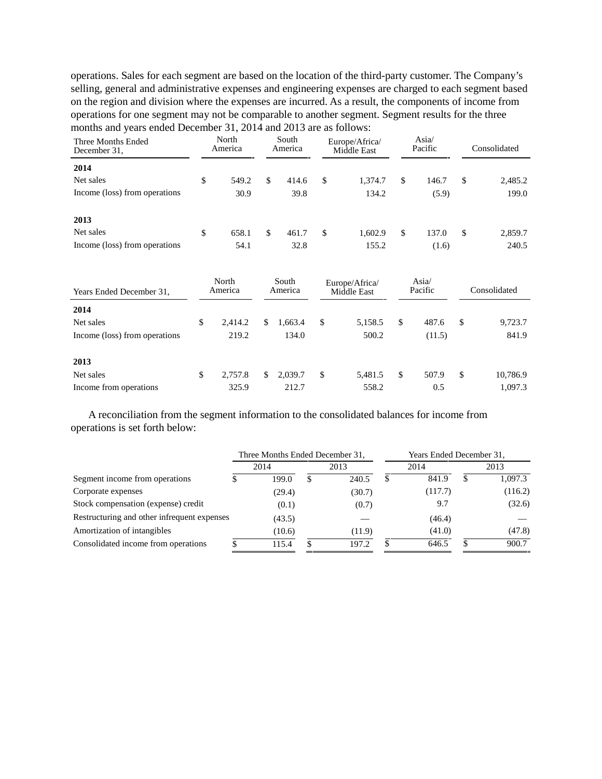operations. Sales for each segment are based on the location of the third-party customer. The Company's selling, general and administrative expenses and engineering expenses are charged to each segment based on the region and division where the expenses are incurred. As a result, the components of income from operations for one segment may not be comparable to another segment. Segment results for the three months and years ended December 31, 2014 and 2013 are as follows:

| Three Months Ended<br>December 31, | North<br>America |                  | South<br>America |                               | Middle East |                  | Europe/Africa/ |    | Asia/<br>Pacific |  | Consolidated |
|------------------------------------|------------------|------------------|------------------|-------------------------------|-------------|------------------|----------------|----|------------------|--|--------------|
| 2014                               |                  |                  |                  |                               |             |                  |                |    |                  |  |              |
| Net sales                          | \$<br>549.2      | \$               | 414.6            | $\mathbb{S}$                  | 1,374.7     | \$               | 146.7          | \$ | 2,485.2          |  |              |
| Income (loss) from operations      | 30.9             |                  | 39.8             |                               | 134.2       |                  | (5.9)          |    | 199.0            |  |              |
| 2013                               |                  |                  |                  |                               |             |                  |                |    |                  |  |              |
| Net sales                          | \$<br>658.1      | \$               | 461.7            | \$                            | 1,602.9     | \$               | 137.0          | \$ | 2,859.7          |  |              |
| Income (loss) from operations      | 54.1             |                  | 32.8             |                               | 155.2       |                  | (1.6)          |    | 240.5            |  |              |
| Years Ended December 31,           | North<br>America | South<br>America |                  | Europe/Africa/<br>Middle East |             | Asia/<br>Pacific |                |    | Consolidated     |  |              |
| 2014                               |                  |                  |                  |                               |             |                  |                |    |                  |  |              |
| Net sales                          | \$<br>2,414.2    | \$.              | 1,663.4          | \$                            | 5,158.5     | \$               | 487.6          | \$ | 9,723.7          |  |              |
| Income (loss) from operations      | 219.2            |                  | 134.0            |                               | 500.2       |                  | (11.5)         |    | 841.9            |  |              |
| 2013                               |                  |                  |                  |                               |             |                  |                |    |                  |  |              |
| Net sales                          | \$<br>2,757.8    | \$               | 2,039.7          | \$                            | 5,481.5     | \$               | 507.9          | \$ | 10,786.9         |  |              |

A reconciliation from the segment information to the consolidated balances for income from operations is set forth below:

|                                             |        |   | Three Months Ended December 31, | Years Ended December 31, |         |      |         |  |  |  |
|---------------------------------------------|--------|---|---------------------------------|--------------------------|---------|------|---------|--|--|--|
|                                             | 2014   |   | 2013                            |                          | 2014    | 2013 |         |  |  |  |
| Segment income from operations              | 199.0  | S | 240.5                           | S                        | 841.9   |      | 1.097.3 |  |  |  |
| Corporate expenses                          | (29.4) |   | (30.7)                          |                          | (117.7) |      | (116.2) |  |  |  |
| Stock compensation (expense) credit         | (0.1)  |   | (0.7)                           |                          | 9.7     |      | (32.6)  |  |  |  |
| Restructuring and other infrequent expenses | (43.5) |   |                                 |                          | (46.4)  |      |         |  |  |  |
| Amortization of intangibles                 | (10.6) |   | (11.9)                          |                          | (41.0)  |      | (47.8)  |  |  |  |
| Consolidated income from operations         | 115.4  |   | 197.2                           |                          | 646.5   |      | 900.7   |  |  |  |
|                                             |        |   |                                 |                          |         |      |         |  |  |  |

Income from operations 325.9 212.7 558.2 0.5 1,097.3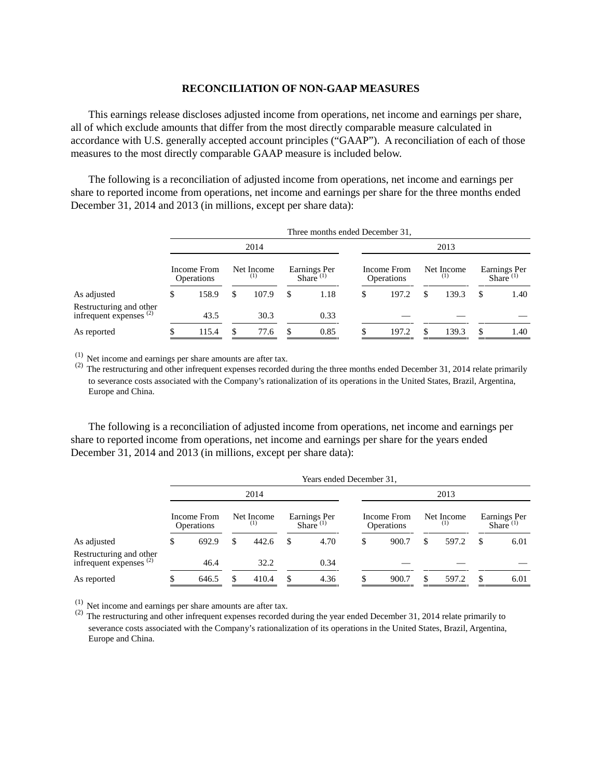#### **RECONCILIATION OF NON-GAAP MEASURES**

This earnings release discloses adjusted income from operations, net income and earnings per share, all of which exclude amounts that differ from the most directly comparable measure calculated in accordance with U.S. generally accepted account principles ("GAAP"). A reconciliation of each of those measures to the most directly comparable GAAP measure is included below.

The following is a reconciliation of adjusted income from operations, net income and earnings per share to reported income from operations, net income and earnings per share for the three months ended December 31, 2014 and 2013 (in millions, except per share data):

|                                                      |                                  |       |                   |       |                             | Three months ended December 31, |                                  |       |                   |       |                             |      |  |  |  |
|------------------------------------------------------|----------------------------------|-------|-------------------|-------|-----------------------------|---------------------------------|----------------------------------|-------|-------------------|-------|-----------------------------|------|--|--|--|
|                                                      |                                  |       |                   | 2014  |                             |                                 |                                  | 2013  |                   |       |                             |      |  |  |  |
|                                                      | Income From<br><b>Operations</b> |       | Net Income<br>(1) |       | Earnings Per<br>Share $(1)$ |                                 | Income From<br><b>Operations</b> |       | Net Income<br>(1) |       | Earnings Per<br>Share $(1)$ |      |  |  |  |
| As adjusted                                          | S                                | 158.9 | \$                | 107.9 | S                           | 1.18                            | \$                               | 197.2 | \$.               | 139.3 |                             | 1.40 |  |  |  |
| Restructuring and other<br>infrequent expenses $(2)$ |                                  | 43.5  |                   | 30.3  |                             | 0.33                            |                                  |       |                   |       |                             |      |  |  |  |
| As reported                                          |                                  | 115.4 |                   | 77.6  |                             | 0.85                            |                                  | 197.2 | S.                | 139.3 |                             | 1.40 |  |  |  |

(1) Net income and earnings per share amounts are after tax.<br>(2) The restructuring and other infrequent expenses recorded during the three months ended December 31, 2014 relate primarily to severance costs associated with the Company's rationalization of its operations in the United States, Brazil, Argentina, Europe and China.

The following is a reconciliation of adjusted income from operations, net income and earnings per share to reported income from operations, net income and earnings per share for the years ended December 31, 2014 and 2013 (in millions, except per share data):

|                                                      |                                  |       |                   |       |                             | Years ended December 31, |                                  |       |                   |       |                             |      |  |  |
|------------------------------------------------------|----------------------------------|-------|-------------------|-------|-----------------------------|--------------------------|----------------------------------|-------|-------------------|-------|-----------------------------|------|--|--|
|                                                      |                                  |       |                   | 2014  |                             |                          | 2013                             |       |                   |       |                             |      |  |  |
|                                                      | Income From<br><b>Operations</b> |       | Net Income<br>(1) |       | Earnings Per<br>Share $(1)$ |                          | Income From<br><b>Operations</b> |       | Net Income<br>(1) |       | Earnings Per<br>Share $(1)$ |      |  |  |
| As adjusted                                          | \$                               | 692.9 | S                 | 442.6 |                             | 4.70                     | \$                               | 900.7 | S                 | 597.2 | -S                          | 6.01 |  |  |
| Restructuring and other<br>infrequent expenses $(2)$ |                                  | 46.4  |                   | 32.2  |                             | 0.34                     |                                  |       |                   |       |                             |      |  |  |
| As reported                                          |                                  | 646.5 |                   | 410.4 |                             | 4.36                     | \$                               | 900.7 |                   | 597.2 |                             | 6.01 |  |  |

(1) Net income and earnings per share amounts are after tax.<br>(2) The restructuring and other infrequent expenses recorded during the year ended December 31, 2014 relate primarily to severance costs associated with the Company's rationalization of its operations in the United States, Brazil, Argentina, Europe and China.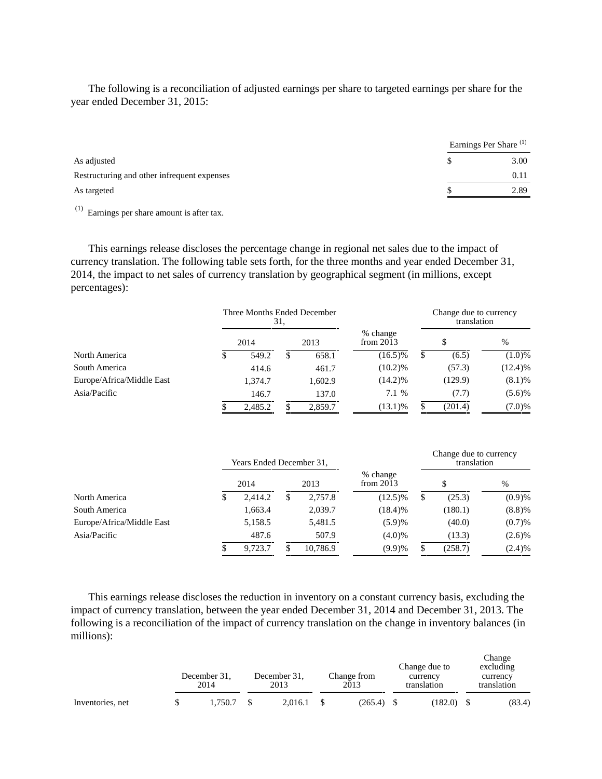The following is a reconciliation of adjusted earnings per share to targeted earnings per share for the year ended December 31, 2015:

|                                             | Earnings Per Share <sup>(1)</sup> |
|---------------------------------------------|-----------------------------------|
| As adjusted                                 | 3.00                              |
| Restructuring and other infrequent expenses | 0.11                              |
| As targeted                                 | 2.89                              |

 $(1)$  Earnings per share amount is after tax.

This earnings release discloses the percentage change in regional net sales due to the impact of currency translation. The following table sets forth, for the three months and year ended December 31, 2014, the impact to net sales of currency translation by geographical segment (in millions, except percentages):

|                           | Three Months Ended December | 31, |         |                         | Change due to currency<br>translation |         |            |  |  |
|---------------------------|-----------------------------|-----|---------|-------------------------|---------------------------------------|---------|------------|--|--|
|                           | 2014                        |     | 2013    | % change<br>from $2013$ |                                       | \$      | %          |  |  |
| North America             | 549.2                       | S   | 658.1   | $(16.5)\%$              | S                                     | (6.5)   | $(1.0)\%$  |  |  |
| South America             | 414.6                       |     | 461.7   | (10.2)%                 |                                       | (57.3)  | $(12.4)\%$ |  |  |
| Europe/Africa/Middle East | 1.374.7                     |     | 1,602.9 | $(14.2)\%$              |                                       | (129.9) | $(8.1)\%$  |  |  |
| Asia/Pacific              | 146.7                       |     | 137.0   | 7.1 %                   |                                       | (7.7)   | $(5.6)$ %  |  |  |
|                           | 2.485.2                     |     | 2.859.7 | $(13.1)\%$              |                                       | (201.4) | (7.0)%     |  |  |

|                           |      | Years Ended December 31. |      |          |                         |    | Change due to currency<br>translation |           |
|---------------------------|------|--------------------------|------|----------|-------------------------|----|---------------------------------------|-----------|
|                           | 2014 |                          | 2013 |          | % change<br>from $2013$ | \$ |                                       | %         |
| North America             |      | 2.414.2                  |      | 2,757.8  | $(12.5)\%$              |    | (25.3)                                | $(0.9)$ % |
| South America             |      | 1,663.4                  |      | 2,039.7  | $(18.4)\%$              |    | (180.1)                               | $(8.8)$ % |
| Europe/Africa/Middle East |      | 5,158.5                  |      | 5,481.5  | (5.9)%                  |    | (40.0)                                | $(0.7)$ % |
| Asia/Pacific              |      | 487.6                    |      | 507.9    | $(4.0)\%$               |    | (13.3)                                | $(2.6)$ % |
|                           |      | 9.723.7                  |      | 10.786.9 | (9.9)%                  |    | (258.7)                               | (2.4)%    |

This earnings release discloses the reduction in inventory on a constant currency basis, excluding the impact of currency translation, between the year ended December 31, 2014 and December 31, 2013. The following is a reconciliation of the impact of currency translation on the change in inventory balances (in millions):

|                  | December 31,<br>2014 | December 31,<br>2013 | Change from<br>2013 | Change due to<br>currency<br>translation | Change<br>excluding<br>currency<br>translation |
|------------------|----------------------|----------------------|---------------------|------------------------------------------|------------------------------------------------|
| Inventories, net | 1.750.7              | 2.016.1              | (265.4)             | (182.0)                                  | (83.4)                                         |